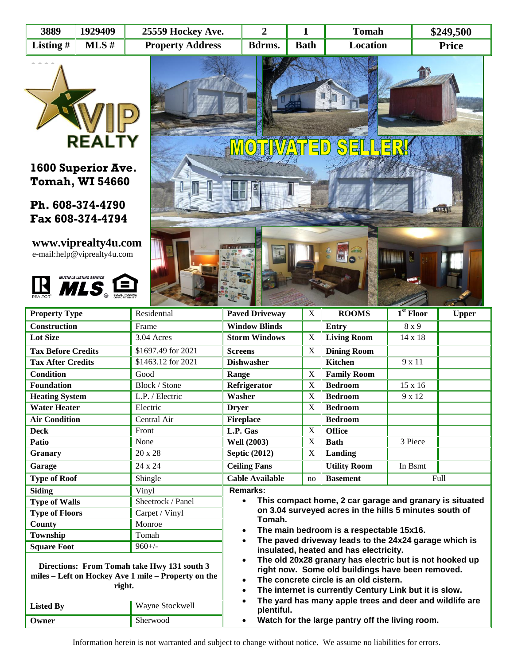| 3889        | 1929409 | 25559 Hockey Ave.       |        |             | <b>Tomah</b> | \$249,500    |
|-------------|---------|-------------------------|--------|-------------|--------------|--------------|
| Listing $#$ | MLS#    | <b>Property Address</b> | Bdrms. | <b>Bath</b> | Location     | <b>Price</b> |



## **1600 Superior Ave. Tomah, WI 54660**

## **Ph. 608-374-4790 Fax 608-374-4794**

## **www.viprealty4u.com** e-mail:help@viprealty4u.com



**Owner** Sherwood



| <b>Property Type</b>                                                                                                             | Residential                                                                                                                                                                                                                                                                                                       | <b>Paved Driveway</b>                                                                                                       | X  | <b>ROOMS</b>        | $1st$ Floor    | <b>Upper</b> |  |
|----------------------------------------------------------------------------------------------------------------------------------|-------------------------------------------------------------------------------------------------------------------------------------------------------------------------------------------------------------------------------------------------------------------------------------------------------------------|-----------------------------------------------------------------------------------------------------------------------------|----|---------------------|----------------|--------------|--|
| Construction                                                                                                                     | Frame                                                                                                                                                                                                                                                                                                             | <b>Window Blinds</b>                                                                                                        |    | <b>Entry</b>        | 8 x 9          |              |  |
| <b>Lot Size</b>                                                                                                                  | 3.04 Acres                                                                                                                                                                                                                                                                                                        | <b>Storm Windows</b>                                                                                                        | X  | <b>Living Room</b>  | $14 \times 18$ |              |  |
| <b>Tax Before Credits</b>                                                                                                        | \$1697.49 for $2021$                                                                                                                                                                                                                                                                                              | <b>Screens</b>                                                                                                              | X  | <b>Dining Room</b>  |                |              |  |
| <b>Tax After Credits</b>                                                                                                         | \$1463.12 for 2021                                                                                                                                                                                                                                                                                                | <b>Dishwasher</b>                                                                                                           |    | <b>Kitchen</b>      | 9 x 11         |              |  |
| <b>Condition</b>                                                                                                                 | Good                                                                                                                                                                                                                                                                                                              | Range                                                                                                                       | X  | <b>Family Room</b>  |                |              |  |
| <b>Foundation</b>                                                                                                                | Block / Stone                                                                                                                                                                                                                                                                                                     | Refrigerator                                                                                                                | X  | <b>Bedroom</b>      | 15 x 16        |              |  |
| <b>Heating System</b>                                                                                                            | L.P. / Electric                                                                                                                                                                                                                                                                                                   | Washer                                                                                                                      | X  | <b>Bedroom</b>      | 9 x 12         |              |  |
| <b>Water Heater</b>                                                                                                              | Electric                                                                                                                                                                                                                                                                                                          | <b>Dryer</b>                                                                                                                | X  | <b>Bedroom</b>      |                |              |  |
| <b>Air Condition</b>                                                                                                             | Central Air                                                                                                                                                                                                                                                                                                       | <b>Fireplace</b>                                                                                                            |    | <b>Bedroom</b>      |                |              |  |
| <b>Deck</b>                                                                                                                      | Front                                                                                                                                                                                                                                                                                                             | L.P. Gas                                                                                                                    | X  | <b>Office</b>       |                |              |  |
| Patio                                                                                                                            | None                                                                                                                                                                                                                                                                                                              | <b>Well (2003)</b>                                                                                                          | X  | <b>Bath</b>         | 3 Piece        |              |  |
| Granary                                                                                                                          | 20 x 28                                                                                                                                                                                                                                                                                                           | <b>Septic (2012)</b>                                                                                                        | X  | Landing             |                |              |  |
| Garage                                                                                                                           | 24 x 24                                                                                                                                                                                                                                                                                                           | <b>Ceiling Fans</b>                                                                                                         |    | <b>Utility Room</b> | In Bsmt        |              |  |
| <b>Type of Roof</b>                                                                                                              | Shingle                                                                                                                                                                                                                                                                                                           | <b>Cable Available</b>                                                                                                      | no | <b>Basement</b>     | Full           |              |  |
| <b>Siding</b>                                                                                                                    | Vinyl                                                                                                                                                                                                                                                                                                             | Remarks:<br>This compact home, 2 car garage and granary is situated<br>$\bullet$                                            |    |                     |                |              |  |
| <b>Type of Walls</b>                                                                                                             | Sheetrock / Panel                                                                                                                                                                                                                                                                                                 |                                                                                                                             |    |                     |                |              |  |
| <b>Type of Floors</b>                                                                                                            | Carpet / Vinyl                                                                                                                                                                                                                                                                                                    | on 3.04 surveyed acres in the hills 5 minutes south of                                                                      |    |                     |                |              |  |
| <b>County</b>                                                                                                                    | Monroe                                                                                                                                                                                                                                                                                                            | Tomah.                                                                                                                      |    |                     |                |              |  |
| Township                                                                                                                         | Tomah                                                                                                                                                                                                                                                                                                             | The main bedroom is a respectable 15x16.<br>$\bullet$<br>The paved driveway leads to the 24x24 garage which is<br>$\bullet$ |    |                     |                |              |  |
| <b>Square Foot</b>                                                                                                               | $960+/-$                                                                                                                                                                                                                                                                                                          | insulated, heated and has electricity.                                                                                      |    |                     |                |              |  |
| Directions: From Tomah take Hwy 131 south 3<br>miles - Left on Hockey Ave 1 mile - Property on the<br>right.<br><b>Listed By</b> | The old 20x28 granary has electric but is not hooked up<br>$\bullet$<br>right now. Some old buildings have been removed.<br>The concrete circle is an old cistern.<br>$\bullet$<br>The internet is currently Century Link but it is slow.<br>$\bullet$<br>The yard has many apple trees and deer and wildlife are |                                                                                                                             |    |                     |                |              |  |
|                                                                                                                                  | Wayne Stockwell                                                                                                                                                                                                                                                                                                   | plentiful.                                                                                                                  |    |                     |                |              |  |

| Watch for the large pantry off the living room. |  |  |  |
|-------------------------------------------------|--|--|--|

Information herein is not warranted and subject to change without notice. We assume no liabilities for errors.